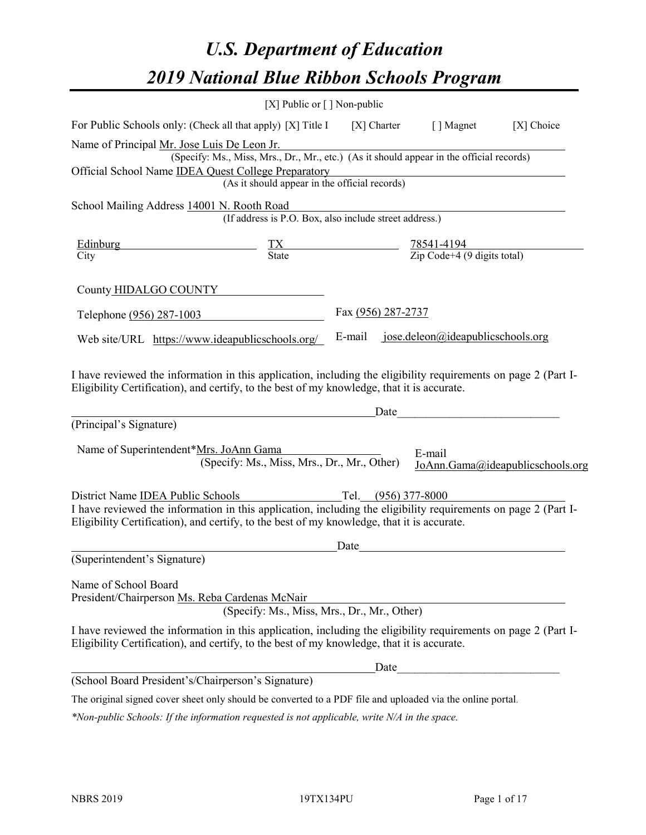# *U.S. Department of Education 2019 National Blue Ribbon Schools Program*

|                                                                                                                                                                                                                                                   | [X] Public or $\lceil$ ] Non-public                                                      |                                                                                           |                                   |                                  |
|---------------------------------------------------------------------------------------------------------------------------------------------------------------------------------------------------------------------------------------------------|------------------------------------------------------------------------------------------|-------------------------------------------------------------------------------------------|-----------------------------------|----------------------------------|
| For Public Schools only: (Check all that apply) [X] Title I                                                                                                                                                                                       |                                                                                          | $[X]$ Charter                                                                             | [ ] Magnet                        | $[X]$ Choice                     |
| Name of Principal Mr. Jose Luis De Leon Jr.                                                                                                                                                                                                       |                                                                                          |                                                                                           |                                   |                                  |
|                                                                                                                                                                                                                                                   | (Specify: Ms., Miss, Mrs., Dr., Mr., etc.) (As it should appear in the official records) |                                                                                           |                                   |                                  |
| Official School Name <b>IDEA Quest College Preparatory</b>                                                                                                                                                                                        | (As it should appear in the official records)                                            |                                                                                           |                                   |                                  |
|                                                                                                                                                                                                                                                   |                                                                                          |                                                                                           |                                   |                                  |
| School Mailing Address 14001 N. Rooth Road                                                                                                                                                                                                        | (If address is P.O. Box, also include street address.)                                   |                                                                                           |                                   |                                  |
| Edinburg                                                                                                                                                                                                                                          |                                                                                          | $\frac{TX}{\text{State}}$ $\frac{78541-4194}{\text{Zip Code}+4 (9 \text{ digits total})}$ |                                   |                                  |
| City                                                                                                                                                                                                                                              |                                                                                          |                                                                                           |                                   |                                  |
| County HIDALGO COUNTY                                                                                                                                                                                                                             |                                                                                          |                                                                                           |                                   |                                  |
| Telephone (956) 287-1003                                                                                                                                                                                                                          |                                                                                          | Fax (956) 287-2737                                                                        |                                   |                                  |
| Web site/URL https://www.ideapublicschools.org/                                                                                                                                                                                                   |                                                                                          | E-mail                                                                                    | jose.deleon@ideapublicschools.org |                                  |
| (Principal's Signature)<br>Name of Superintendent*Mrs. JoAnn Gama                                                                                                                                                                                 |                                                                                          | _Date                                                                                     | E-mail                            |                                  |
|                                                                                                                                                                                                                                                   | (Specify: Ms., Miss, Mrs., Dr., Mr., Other)                                              |                                                                                           |                                   | JoAnn.Gama@ideapublicschools.org |
|                                                                                                                                                                                                                                                   |                                                                                          |                                                                                           |                                   |                                  |
| District Name IDEA Public Schools<br>I have reviewed the information in this application, including the eligibility requirements on page 2 (Part I-<br>Eligibility Certification), and certify, to the best of my knowledge, that it is accurate. |                                                                                          |                                                                                           |                                   |                                  |
|                                                                                                                                                                                                                                                   |                                                                                          | Date                                                                                      |                                   |                                  |
| (Superintendent's Signature)                                                                                                                                                                                                                      |                                                                                          |                                                                                           |                                   |                                  |
| Name of School Board<br>President/Chairperson Ms. Reba Cardenas McNair                                                                                                                                                                            | (Specify: Ms., Miss, Mrs., Dr., Mr., Other)                                              |                                                                                           |                                   |                                  |
| I have reviewed the information in this application, including the eligibility requirements on page 2 (Part I-<br>Eligibility Certification), and certify, to the best of my knowledge, that it is accurate.                                      |                                                                                          |                                                                                           |                                   |                                  |
|                                                                                                                                                                                                                                                   |                                                                                          | Date                                                                                      |                                   |                                  |
| (School Board President's/Chairperson's Signature)                                                                                                                                                                                                |                                                                                          |                                                                                           |                                   |                                  |
| The original signed cover sheet only should be converted to a PDF file and uploaded via the online portal.                                                                                                                                        |                                                                                          |                                                                                           |                                   |                                  |

*\*Non-public Schools: If the information requested is not applicable, write N/A in the space.*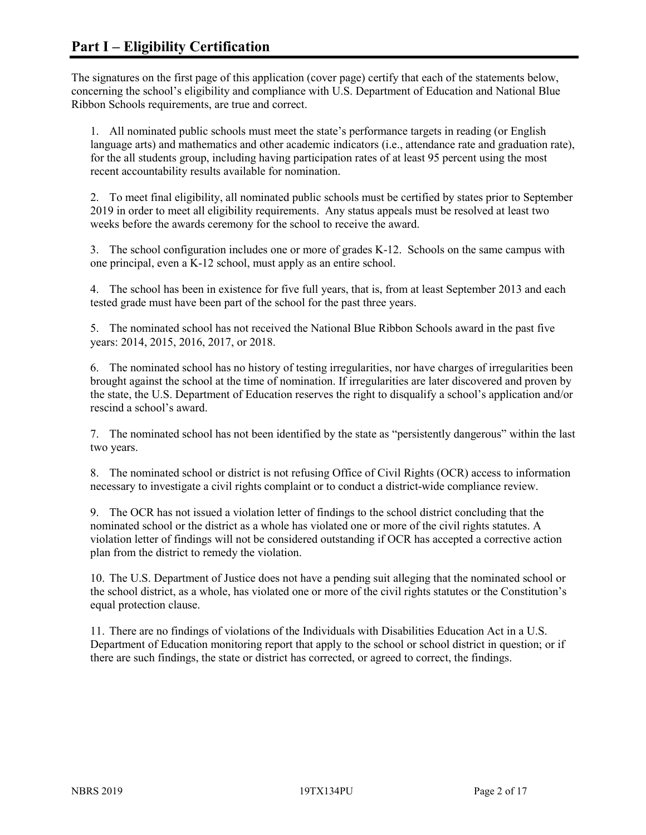The signatures on the first page of this application (cover page) certify that each of the statements below, concerning the school's eligibility and compliance with U.S. Department of Education and National Blue Ribbon Schools requirements, are true and correct.

1. All nominated public schools must meet the state's performance targets in reading (or English language arts) and mathematics and other academic indicators (i.e., attendance rate and graduation rate), for the all students group, including having participation rates of at least 95 percent using the most recent accountability results available for nomination.

2. To meet final eligibility, all nominated public schools must be certified by states prior to September 2019 in order to meet all eligibility requirements. Any status appeals must be resolved at least two weeks before the awards ceremony for the school to receive the award.

3. The school configuration includes one or more of grades K-12. Schools on the same campus with one principal, even a K-12 school, must apply as an entire school.

4. The school has been in existence for five full years, that is, from at least September 2013 and each tested grade must have been part of the school for the past three years.

5. The nominated school has not received the National Blue Ribbon Schools award in the past five years: 2014, 2015, 2016, 2017, or 2018.

6. The nominated school has no history of testing irregularities, nor have charges of irregularities been brought against the school at the time of nomination. If irregularities are later discovered and proven by the state, the U.S. Department of Education reserves the right to disqualify a school's application and/or rescind a school's award.

7. The nominated school has not been identified by the state as "persistently dangerous" within the last two years.

8. The nominated school or district is not refusing Office of Civil Rights (OCR) access to information necessary to investigate a civil rights complaint or to conduct a district-wide compliance review.

9. The OCR has not issued a violation letter of findings to the school district concluding that the nominated school or the district as a whole has violated one or more of the civil rights statutes. A violation letter of findings will not be considered outstanding if OCR has accepted a corrective action plan from the district to remedy the violation.

10. The U.S. Department of Justice does not have a pending suit alleging that the nominated school or the school district, as a whole, has violated one or more of the civil rights statutes or the Constitution's equal protection clause.

11. There are no findings of violations of the Individuals with Disabilities Education Act in a U.S. Department of Education monitoring report that apply to the school or school district in question; or if there are such findings, the state or district has corrected, or agreed to correct, the findings.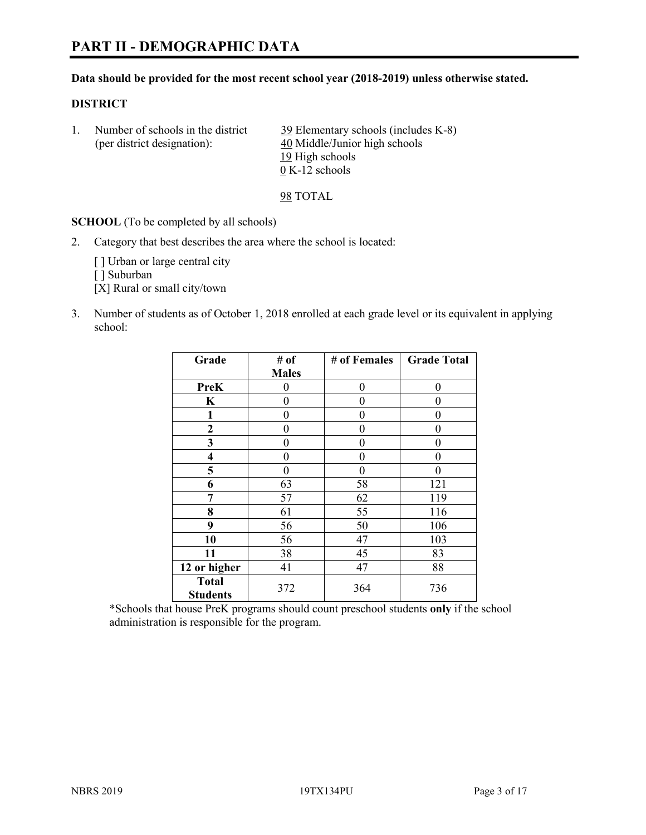# **PART II - DEMOGRAPHIC DATA**

#### **Data should be provided for the most recent school year (2018-2019) unless otherwise stated.**

#### **DISTRICT**

1. Number of schools in the district 39 Elementary schools (includes K-8) (per district designation): 40 Middle/Junior high schools 19 High schools 0 K-12 schools

98 TOTAL

**SCHOOL** (To be completed by all schools)

2. Category that best describes the area where the school is located:

[] Urban or large central city

[ ] Suburban

[X] Rural or small city/town

3. Number of students as of October 1, 2018 enrolled at each grade level or its equivalent in applying school:

| Grade                   | # of         | # of Females   | <b>Grade Total</b> |
|-------------------------|--------------|----------------|--------------------|
|                         | <b>Males</b> |                |                    |
| <b>PreK</b>             | 0            | $\overline{0}$ | 0                  |
| K                       | 0            | $\theta$       | 0                  |
| 1                       | 0            | $\theta$       | 0                  |
| 2                       | 0            | 0              | 0                  |
| 3                       | 0            | 0              | 0                  |
| $\overline{\mathbf{4}}$ | 0            | $\theta$       | 0                  |
| 5                       | 0            | $\theta$       | 0                  |
| 6                       | 63           | 58             | 121                |
| 7                       | 57           | 62             | 119                |
| 8                       | 61           | 55             | 116                |
| 9                       | 56           | 50             | 106                |
| 10                      | 56           | 47             | 103                |
| 11                      | 38           | 45             | 83                 |
| 12 or higher            | 41           | 47             | 88                 |
| <b>Total</b>            | 372          | 364            | 736                |
| <b>Students</b>         |              |                |                    |

\*Schools that house PreK programs should count preschool students **only** if the school administration is responsible for the program.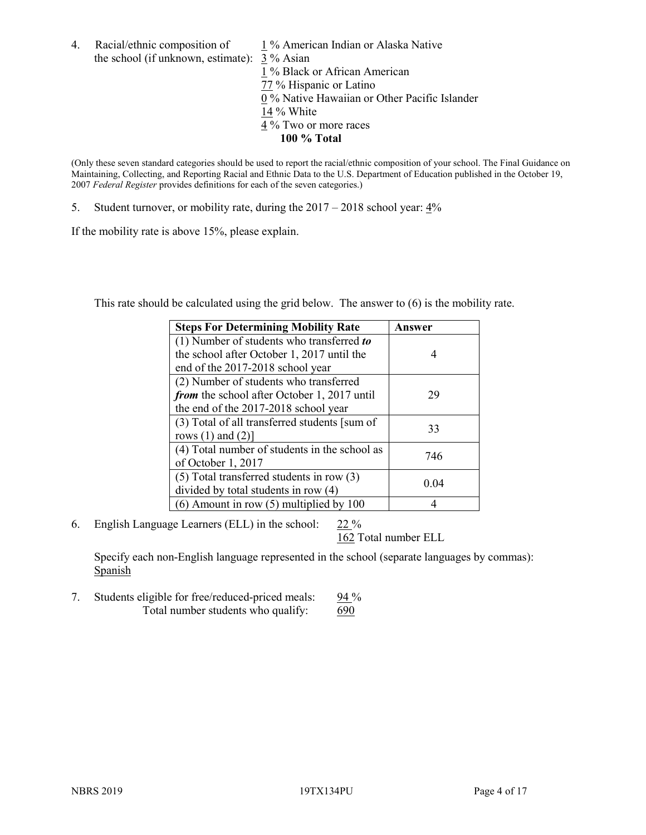- 4. Racial/ethnic composition of  $1\%$  American Indian or Alaska Native the school (if unknown, estimate): 3 % Asian 1 % Black or African American  $\frac{2}{77}$  % Hispanic or Latino 0 % Native Hawaiian or Other Pacific Islander 14 % White
	- 4 % Two or more races
		- **100 % Total**

(Only these seven standard categories should be used to report the racial/ethnic composition of your school. The Final Guidance on Maintaining, Collecting, and Reporting Racial and Ethnic Data to the U.S. Department of Education published in the October 19, 2007 *Federal Register* provides definitions for each of the seven categories.)

5. Student turnover, or mobility rate, during the 2017 – 2018 school year: 4%

If the mobility rate is above 15%, please explain.

This rate should be calculated using the grid below. The answer to (6) is the mobility rate.

| <b>Steps For Determining Mobility Rate</b>    | Answer |
|-----------------------------------------------|--------|
| (1) Number of students who transferred to     |        |
| the school after October 1, 2017 until the    | 4      |
| end of the 2017-2018 school year              |        |
| (2) Number of students who transferred        |        |
| from the school after October 1, 2017 until   | 29     |
| the end of the 2017-2018 school year          |        |
| (3) Total of all transferred students [sum of | 33     |
| rows $(1)$ and $(2)$ ]                        |        |
| (4) Total number of students in the school as | 746    |
| of October 1, 2017                            |        |
| $(5)$ Total transferred students in row $(3)$ | 0.04   |
| divided by total students in row (4)          |        |
| $(6)$ Amount in row $(5)$ multiplied by 100   |        |

6. English Language Learners (ELL) in the school:  $22\%$ 

162 Total number ELL

Specify each non-English language represented in the school (separate languages by commas): **Spanish** 

7. Students eligible for free/reduced-priced meals: 94 % Total number students who qualify: 690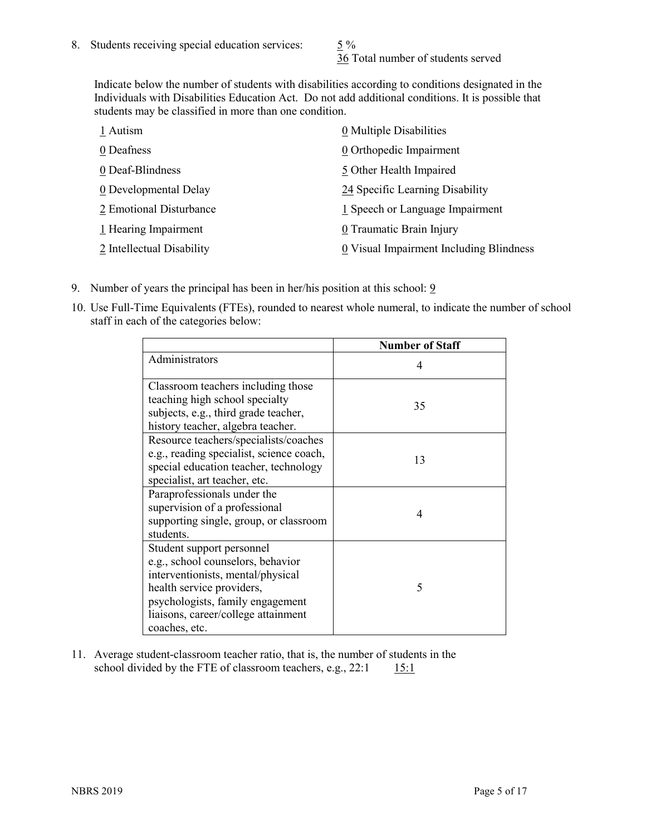36 Total number of students served

Indicate below the number of students with disabilities according to conditions designated in the Individuals with Disabilities Education Act. Do not add additional conditions. It is possible that students may be classified in more than one condition.

| 1 Autism                  | $\underline{0}$ Multiple Disabilities   |
|---------------------------|-----------------------------------------|
| 0 Deafness                | 0 Orthopedic Impairment                 |
| 0 Deaf-Blindness          | 5 Other Health Impaired                 |
| 0 Developmental Delay     | 24 Specific Learning Disability         |
| 2 Emotional Disturbance   | 1 Speech or Language Impairment         |
| 1 Hearing Impairment      | 0 Traumatic Brain Injury                |
| 2 Intellectual Disability | 0 Visual Impairment Including Blindness |

- 9. Number of years the principal has been in her/his position at this school:  $9$
- 10. Use Full-Time Equivalents (FTEs), rounded to nearest whole numeral, to indicate the number of school staff in each of the categories below:

|                                                                                                                                                                                                                              | <b>Number of Staff</b> |
|------------------------------------------------------------------------------------------------------------------------------------------------------------------------------------------------------------------------------|------------------------|
| Administrators                                                                                                                                                                                                               | 4                      |
| Classroom teachers including those<br>teaching high school specialty<br>subjects, e.g., third grade teacher,<br>history teacher, algebra teacher.                                                                            | 35                     |
| Resource teachers/specialists/coaches<br>e.g., reading specialist, science coach,<br>special education teacher, technology<br>specialist, art teacher, etc.                                                                  | 13                     |
| Paraprofessionals under the<br>supervision of a professional<br>supporting single, group, or classroom<br>students.                                                                                                          | 4                      |
| Student support personnel<br>e.g., school counselors, behavior<br>interventionists, mental/physical<br>health service providers,<br>psychologists, family engagement<br>liaisons, career/college attainment<br>coaches, etc. | 5                      |

11. Average student-classroom teacher ratio, that is, the number of students in the school divided by the FTE of classroom teachers, e.g.,  $22:1$  15:1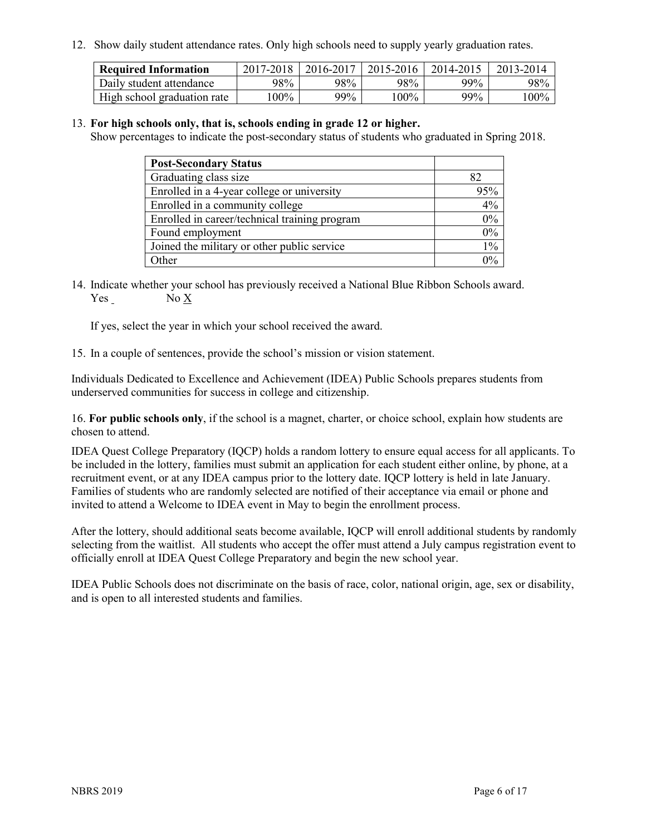12. Show daily student attendance rates. Only high schools need to supply yearly graduation rates.

| <b>Required Information</b> | 2017-2018 | 2016-2017 | 2015-2016 | 2014-2015 | 2013-2014 |
|-----------------------------|-----------|-----------|-----------|-----------|-----------|
| Daily student attendance    | 98%       | 98%       | 98%       | $99\%$    | 98%       |
| High school graduation rate | $00\%$    | 99%       | $00\%$    | $99\%$    | $100\%$   |

#### 13. **For high schools only, that is, schools ending in grade 12 or higher.**

Show percentages to indicate the post-secondary status of students who graduated in Spring 2018.

| <b>Post-Secondary Status</b>                  |     |
|-----------------------------------------------|-----|
| Graduating class size                         | 82  |
| Enrolled in a 4-year college or university    | 95% |
| Enrolled in a community college               | 4%  |
| Enrolled in career/technical training program | 0%  |
| Found employment                              | 0%  |
| Joined the military or other public service   | 1%  |
| Other                                         | ሰ%  |

14. Indicate whether your school has previously received a National Blue Ribbon Schools award. Yes No X

If yes, select the year in which your school received the award.

15. In a couple of sentences, provide the school's mission or vision statement.

Individuals Dedicated to Excellence and Achievement (IDEA) Public Schools prepares students from underserved communities for success in college and citizenship.

16. **For public schools only**, if the school is a magnet, charter, or choice school, explain how students are chosen to attend.

IDEA Quest College Preparatory (IQCP) holds a random lottery to ensure equal access for all applicants. To be included in the lottery, families must submit an application for each student either online, by phone, at a recruitment event, or at any IDEA campus prior to the lottery date. IQCP lottery is held in late January. Families of students who are randomly selected are notified of their acceptance via email or phone and invited to attend a Welcome to IDEA event in May to begin the enrollment process.

After the lottery, should additional seats become available, IQCP will enroll additional students by randomly selecting from the waitlist. All students who accept the offer must attend a July campus registration event to officially enroll at IDEA Quest College Preparatory and begin the new school year.

IDEA Public Schools does not discriminate on the basis of race, color, national origin, age, sex or disability, and is open to all interested students and families.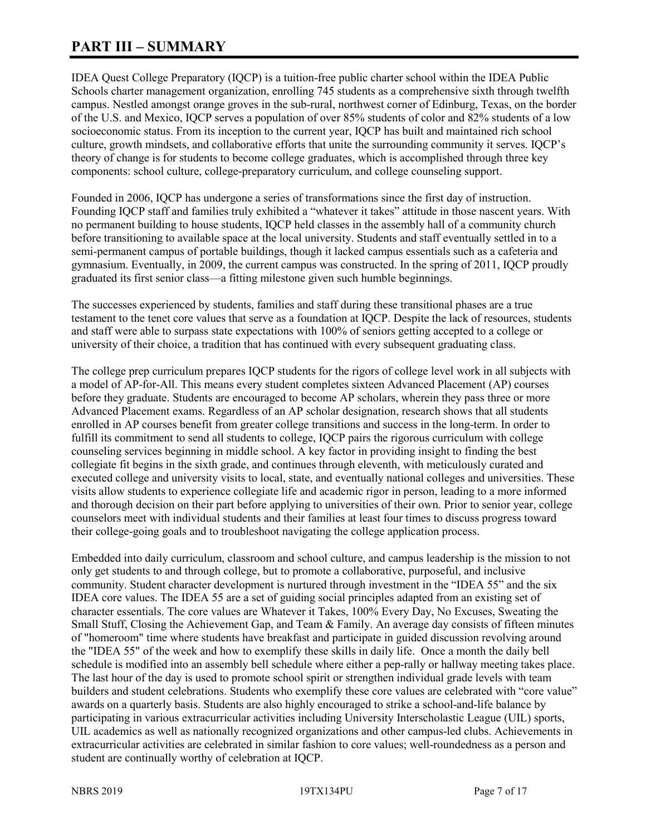# **PART III – SUMMARY**

IDEA Quest College Preparatory (IQCP) is a tuition-free public charter school within the IDEA Public Schools charter management organization, enrolling 745 students as a comprehensive sixth through twelfth campus. Nestled amongst orange groves in the sub-rural, northwest corner of Edinburg, Texas, on the border of the U.S. and Mexico, IQCP serves a population of over 85% students of color and 82% students of a low socioeconomic status. From its inception to the current year, IQCP has built and maintained rich school culture, growth mindsets, and collaborative efforts that unite the surrounding community it serves. IQCP's theory of change is for students to become college graduates, which is accomplished through three key components: school culture, college-preparatory curriculum, and college counseling support.

Founded in 2006, IQCP has undergone a series of transformations since the first day of instruction. Founding IQCP staff and families truly exhibited a "whatever it takes" attitude in those nascent years. With no permanent building to house students, IQCP held classes in the assembly hall of a community church before transitioning to available space at the local university. Students and staff eventually settled in to a semi-permanent campus of portable buildings, though it lacked campus essentials such as a cafeteria and gymnasium. Eventually, in 2009, the current campus was constructed. In the spring of 2011, IQCP proudly graduated its first senior class—a fitting milestone given such humble beginnings.

The successes experienced by students, families and staff during these transitional phases are a true testament to the tenet core values that serve as a foundation at IQCP. Despite the lack of resources, students and staff were able to surpass state expectations with 100% of seniors getting accepted to a college or university of their choice, a tradition that has continued with every subsequent graduating class.

The college prep curriculum prepares IQCP students for the rigors of college level work in all subjects with a model of AP-for-All. This means every student completes sixteen Advanced Placement (AP) courses before they graduate. Students are encouraged to become AP scholars, wherein they pass three or more Advanced Placement exams. Regardless of an AP scholar designation, research shows that all students enrolled in AP courses benefit from greater college transitions and success in the long-term. In order to fulfill its commitment to send all students to college, IQCP pairs the rigorous curriculum with college counseling services beginning in middle school. A key factor in providing insight to finding the best collegiate fit begins in the sixth grade, and continues through eleventh, with meticulously curated and executed college and university visits to local, state, and eventually national colleges and universities. These visits allow students to experience collegiate life and academic rigor in person, leading to a more informed and thorough decision on their part before applying to universities of their own. Prior to senior year, college counselors meet with individual students and their families at least four times to discuss progress toward their college-going goals and to troubleshoot navigating the college application process.

Embedded into daily curriculum, classroom and school culture, and campus leadership is the mission to not only get students to and through college, but to promote a collaborative, purposeful, and inclusive community. Student character development is nurtured through investment in the "IDEA 55" and the six IDEA core values. The IDEA 55 are a set of guiding social principles adapted from an existing set of character essentials. The core values are Whatever it Takes, 100% Every Day, No Excuses, Sweating the Small Stuff, Closing the Achievement Gap, and Team & Family. An average day consists of fifteen minutes of "homeroom" time where students have breakfast and participate in guided discussion revolving around the "IDEA 55" of the week and how to exemplify these skills in daily life. Once a month the daily bell schedule is modified into an assembly bell schedule where either a pep-rally or hallway meeting takes place. The last hour of the day is used to promote school spirit or strengthen individual grade levels with team builders and student celebrations. Students who exemplify these core values are celebrated with "core value" awards on a quarterly basis. Students are also highly encouraged to strike a school-and-life balance by participating in various extracurricular activities including University Interscholastic League (UIL) sports, UIL academics as well as nationally recognized organizations and other campus-led clubs. Achievements in extracurricular activities are celebrated in similar fashion to core values; well-roundedness as a person and student are continually worthy of celebration at IQCP.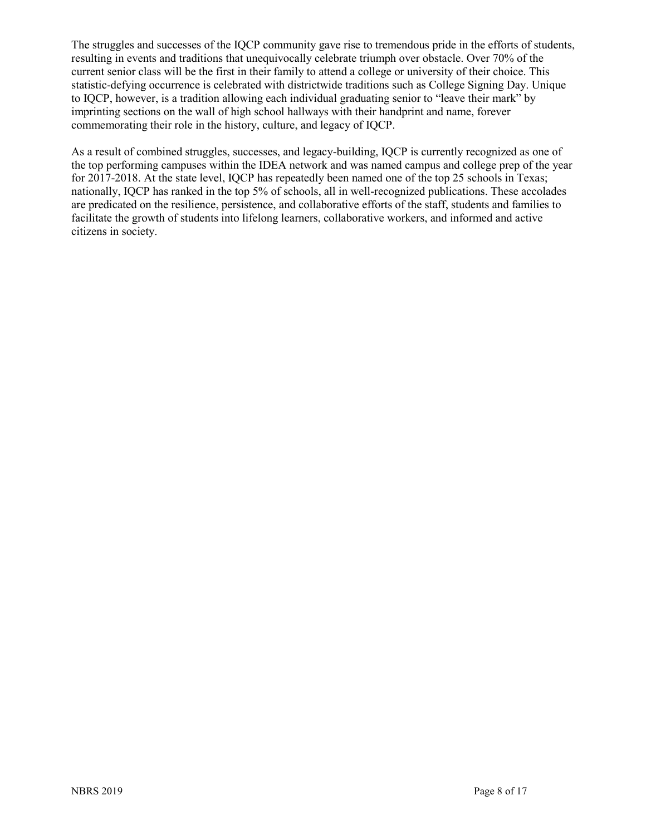The struggles and successes of the IQCP community gave rise to tremendous pride in the efforts of students, resulting in events and traditions that unequivocally celebrate triumph over obstacle. Over 70% of the current senior class will be the first in their family to attend a college or university of their choice. This statistic-defying occurrence is celebrated with districtwide traditions such as College Signing Day. Unique to IQCP, however, is a tradition allowing each individual graduating senior to "leave their mark" by imprinting sections on the wall of high school hallways with their handprint and name, forever commemorating their role in the history, culture, and legacy of IQCP.

As a result of combined struggles, successes, and legacy-building, IQCP is currently recognized as one of the top performing campuses within the IDEA network and was named campus and college prep of the year for 2017-2018. At the state level, IQCP has repeatedly been named one of the top 25 schools in Texas; nationally, IQCP has ranked in the top 5% of schools, all in well-recognized publications. These accolades are predicated on the resilience, persistence, and collaborative efforts of the staff, students and families to facilitate the growth of students into lifelong learners, collaborative workers, and informed and active citizens in society.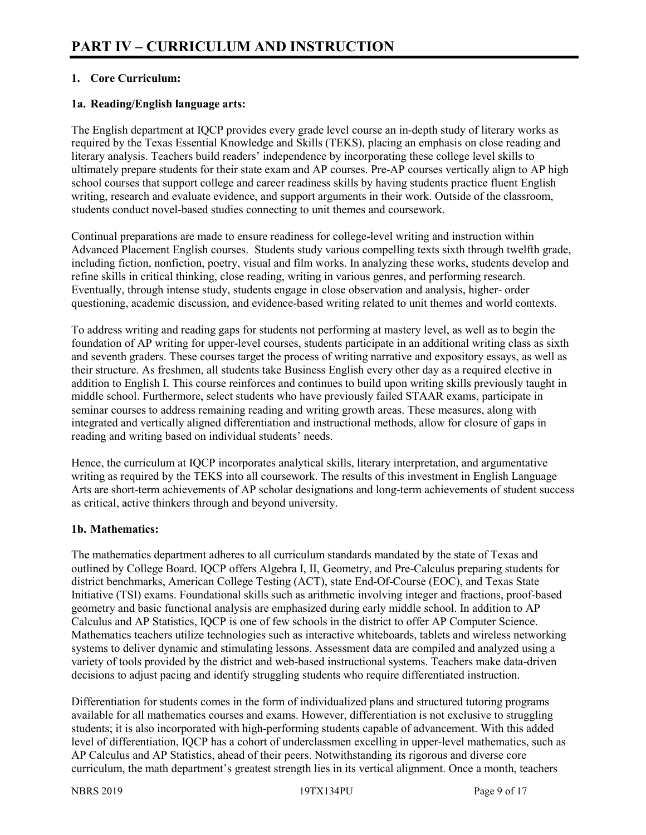## **1. Core Curriculum:**

#### **1a. Reading/English language arts:**

The English department at IQCP provides every grade level course an in-depth study of literary works as required by the Texas Essential Knowledge and Skills (TEKS), placing an emphasis on close reading and literary analysis. Teachers build readers' independence by incorporating these college level skills to ultimately prepare students for their state exam and AP courses. Pre-AP courses vertically align to AP high school courses that support college and career readiness skills by having students practice fluent English writing, research and evaluate evidence, and support arguments in their work. Outside of the classroom, students conduct novel-based studies connecting to unit themes and coursework.

Continual preparations are made to ensure readiness for college-level writing and instruction within Advanced Placement English courses. Students study various compelling texts sixth through twelfth grade, including fiction, nonfiction, poetry, visual and film works. In analyzing these works, students develop and refine skills in critical thinking, close reading, writing in various genres, and performing research. Eventually, through intense study, students engage in close observation and analysis, higher- order questioning, academic discussion, and evidence-based writing related to unit themes and world contexts.

To address writing and reading gaps for students not performing at mastery level, as well as to begin the foundation of AP writing for upper-level courses, students participate in an additional writing class as sixth and seventh graders. These courses target the process of writing narrative and expository essays, as well as their structure. As freshmen, all students take Business English every other day as a required elective in addition to English I. This course reinforces and continues to build upon writing skills previously taught in middle school. Furthermore, select students who have previously failed STAAR exams, participate in seminar courses to address remaining reading and writing growth areas. These measures, along with integrated and vertically aligned differentiation and instructional methods, allow for closure of gaps in reading and writing based on individual students' needs.

Hence, the curriculum at IQCP incorporates analytical skills, literary interpretation, and argumentative writing as required by the TEKS into all coursework. The results of this investment in English Language Arts are short-term achievements of AP scholar designations and long-term achievements of student success as critical, active thinkers through and beyond university.

#### **1b. Mathematics:**

The mathematics department adheres to all curriculum standards mandated by the state of Texas and outlined by College Board. IQCP offers Algebra I, II, Geometry, and Pre-Calculus preparing students for district benchmarks, American College Testing (ACT), state End-Of-Course (EOC), and Texas State Initiative (TSI) exams. Foundational skills such as arithmetic involving integer and fractions, proof-based geometry and basic functional analysis are emphasized during early middle school. In addition to AP Calculus and AP Statistics, IQCP is one of few schools in the district to offer AP Computer Science. Mathematics teachers utilize technologies such as interactive whiteboards, tablets and wireless networking systems to deliver dynamic and stimulating lessons. Assessment data are compiled and analyzed using a variety of tools provided by the district and web-based instructional systems. Teachers make data-driven decisions to adjust pacing and identify struggling students who require differentiated instruction.

Differentiation for students comes in the form of individualized plans and structured tutoring programs available for all mathematics courses and exams. However, differentiation is not exclusive to struggling students; it is also incorporated with high-performing students capable of advancement. With this added level of differentiation, IQCP has a cohort of underclassmen excelling in upper-level mathematics, such as AP Calculus and AP Statistics, ahead of their peers. Notwithstanding its rigorous and diverse core curriculum, the math department's greatest strength lies in its vertical alignment. Once a month, teachers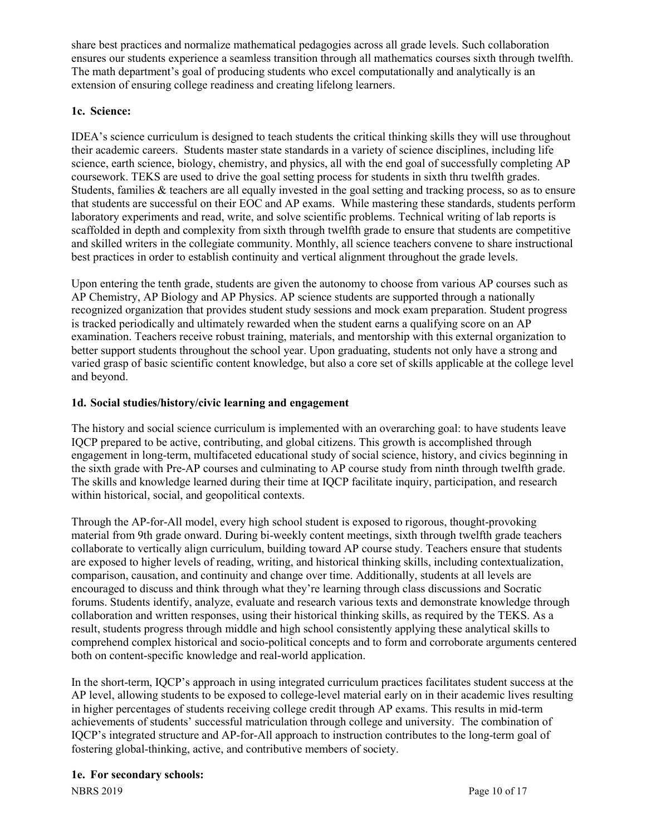share best practices and normalize mathematical pedagogies across all grade levels. Such collaboration ensures our students experience a seamless transition through all mathematics courses sixth through twelfth. The math department's goal of producing students who excel computationally and analytically is an extension of ensuring college readiness and creating lifelong learners.

## **1c. Science:**

IDEA's science curriculum is designed to teach students the critical thinking skills they will use throughout their academic careers. Students master state standards in a variety of science disciplines, including life science, earth science, biology, chemistry, and physics, all with the end goal of successfully completing AP coursework. TEKS are used to drive the goal setting process for students in sixth thru twelfth grades. Students, families & teachers are all equally invested in the goal setting and tracking process, so as to ensure that students are successful on their EOC and AP exams. While mastering these standards, students perform laboratory experiments and read, write, and solve scientific problems. Technical writing of lab reports is scaffolded in depth and complexity from sixth through twelfth grade to ensure that students are competitive and skilled writers in the collegiate community. Monthly, all science teachers convene to share instructional best practices in order to establish continuity and vertical alignment throughout the grade levels.

Upon entering the tenth grade, students are given the autonomy to choose from various AP courses such as AP Chemistry, AP Biology and AP Physics. AP science students are supported through a nationally recognized organization that provides student study sessions and mock exam preparation. Student progress is tracked periodically and ultimately rewarded when the student earns a qualifying score on an AP examination. Teachers receive robust training, materials, and mentorship with this external organization to better support students throughout the school year. Upon graduating, students not only have a strong and varied grasp of basic scientific content knowledge, but also a core set of skills applicable at the college level and beyond.

## **1d. Social studies/history/civic learning and engagement**

The history and social science curriculum is implemented with an overarching goal: to have students leave IQCP prepared to be active, contributing, and global citizens. This growth is accomplished through engagement in long-term, multifaceted educational study of social science, history, and civics beginning in the sixth grade with Pre-AP courses and culminating to AP course study from ninth through twelfth grade. The skills and knowledge learned during their time at IQCP facilitate inquiry, participation, and research within historical, social, and geopolitical contexts.

Through the AP-for-All model, every high school student is exposed to rigorous, thought-provoking material from 9th grade onward. During bi-weekly content meetings, sixth through twelfth grade teachers collaborate to vertically align curriculum, building toward AP course study. Teachers ensure that students are exposed to higher levels of reading, writing, and historical thinking skills, including contextualization, comparison, causation, and continuity and change over time. Additionally, students at all levels are encouraged to discuss and think through what they're learning through class discussions and Socratic forums. Students identify, analyze, evaluate and research various texts and demonstrate knowledge through collaboration and written responses, using their historical thinking skills, as required by the TEKS. As a result, students progress through middle and high school consistently applying these analytical skills to comprehend complex historical and socio-political concepts and to form and corroborate arguments centered both on content-specific knowledge and real-world application.

In the short-term, IQCP's approach in using integrated curriculum practices facilitates student success at the AP level, allowing students to be exposed to college-level material early on in their academic lives resulting in higher percentages of students receiving college credit through AP exams. This results in mid-term achievements of students' successful matriculation through college and university. The combination of IQCP's integrated structure and AP-for-All approach to instruction contributes to the long-term goal of fostering global-thinking, active, and contributive members of society.

## **1e. For secondary schools:**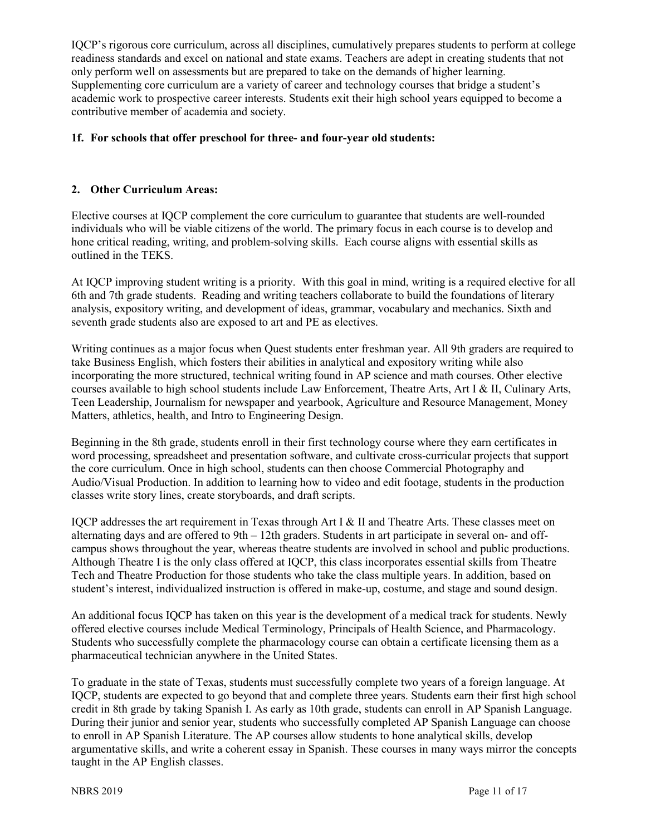IQCP's rigorous core curriculum, across all disciplines, cumulatively prepares students to perform at college readiness standards and excel on national and state exams. Teachers are adept in creating students that not only perform well on assessments but are prepared to take on the demands of higher learning. Supplementing core curriculum are a variety of career and technology courses that bridge a student's academic work to prospective career interests. Students exit their high school years equipped to become a contributive member of academia and society.

#### **1f. For schools that offer preschool for three- and four-year old students:**

#### **2. Other Curriculum Areas:**

Elective courses at IQCP complement the core curriculum to guarantee that students are well-rounded individuals who will be viable citizens of the world. The primary focus in each course is to develop and hone critical reading, writing, and problem-solving skills. Each course aligns with essential skills as outlined in the TEKS.

At IQCP improving student writing is a priority. With this goal in mind, writing is a required elective for all 6th and 7th grade students. Reading and writing teachers collaborate to build the foundations of literary analysis, expository writing, and development of ideas, grammar, vocabulary and mechanics. Sixth and seventh grade students also are exposed to art and PE as electives.

Writing continues as a major focus when Quest students enter freshman year. All 9th graders are required to take Business English, which fosters their abilities in analytical and expository writing while also incorporating the more structured, technical writing found in AP science and math courses. Other elective courses available to high school students include Law Enforcement, Theatre Arts, Art I & II, Culinary Arts, Teen Leadership, Journalism for newspaper and yearbook, Agriculture and Resource Management, Money Matters, athletics, health, and Intro to Engineering Design.

Beginning in the 8th grade, students enroll in their first technology course where they earn certificates in word processing, spreadsheet and presentation software, and cultivate cross-curricular projects that support the core curriculum. Once in high school, students can then choose Commercial Photography and Audio/Visual Production. In addition to learning how to video and edit footage, students in the production classes write story lines, create storyboards, and draft scripts.

IQCP addresses the art requirement in Texas through Art I & II and Theatre Arts. These classes meet on alternating days and are offered to 9th – 12th graders. Students in art participate in several on- and offcampus shows throughout the year, whereas theatre students are involved in school and public productions. Although Theatre I is the only class offered at IQCP, this class incorporates essential skills from Theatre Tech and Theatre Production for those students who take the class multiple years. In addition, based on student's interest, individualized instruction is offered in make-up, costume, and stage and sound design.

An additional focus IQCP has taken on this year is the development of a medical track for students. Newly offered elective courses include Medical Terminology, Principals of Health Science, and Pharmacology. Students who successfully complete the pharmacology course can obtain a certificate licensing them as a pharmaceutical technician anywhere in the United States.

To graduate in the state of Texas, students must successfully complete two years of a foreign language. At IQCP, students are expected to go beyond that and complete three years. Students earn their first high school credit in 8th grade by taking Spanish I. As early as 10th grade, students can enroll in AP Spanish Language. During their junior and senior year, students who successfully completed AP Spanish Language can choose to enroll in AP Spanish Literature. The AP courses allow students to hone analytical skills, develop argumentative skills, and write a coherent essay in Spanish. These courses in many ways mirror the concepts taught in the AP English classes.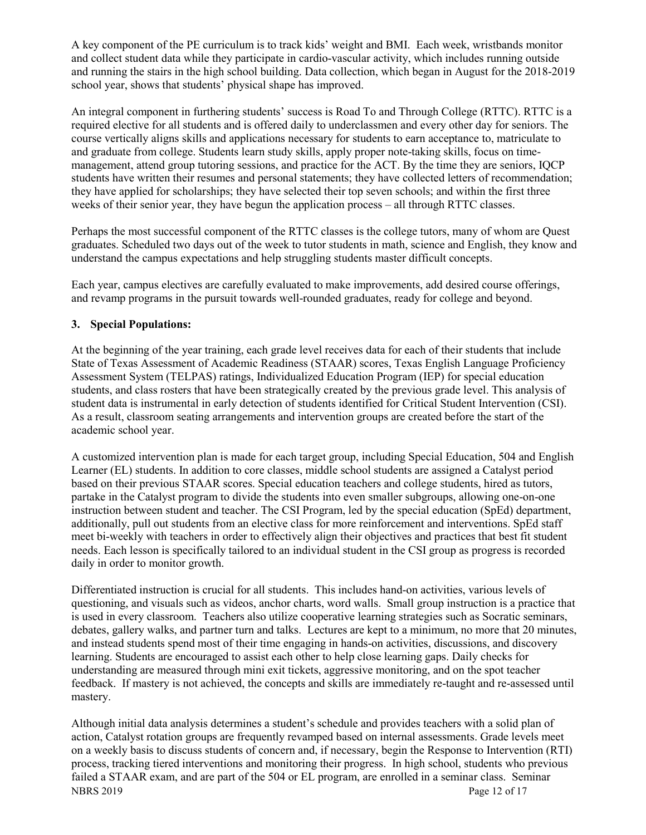A key component of the PE curriculum is to track kids' weight and BMI. Each week, wristbands monitor and collect student data while they participate in cardio-vascular activity, which includes running outside and running the stairs in the high school building. Data collection, which began in August for the 2018-2019 school year, shows that students' physical shape has improved.

An integral component in furthering students' success is Road To and Through College (RTTC). RTTC is a required elective for all students and is offered daily to underclassmen and every other day for seniors. The course vertically aligns skills and applications necessary for students to earn acceptance to, matriculate to and graduate from college. Students learn study skills, apply proper note-taking skills, focus on timemanagement, attend group tutoring sessions, and practice for the ACT. By the time they are seniors, IQCP students have written their resumes and personal statements; they have collected letters of recommendation; they have applied for scholarships; they have selected their top seven schools; and within the first three weeks of their senior year, they have begun the application process – all through RTTC classes.

Perhaps the most successful component of the RTTC classes is the college tutors, many of whom are Quest graduates. Scheduled two days out of the week to tutor students in math, science and English, they know and understand the campus expectations and help struggling students master difficult concepts.

Each year, campus electives are carefully evaluated to make improvements, add desired course offerings, and revamp programs in the pursuit towards well-rounded graduates, ready for college and beyond.

#### **3. Special Populations:**

At the beginning of the year training, each grade level receives data for each of their students that include State of Texas Assessment of Academic Readiness (STAAR) scores, Texas English Language Proficiency Assessment System (TELPAS) ratings, Individualized Education Program (IEP) for special education students, and class rosters that have been strategically created by the previous grade level. This analysis of student data is instrumental in early detection of students identified for Critical Student Intervention (CSI). As a result, classroom seating arrangements and intervention groups are created before the start of the academic school year.

A customized intervention plan is made for each target group, including Special Education, 504 and English Learner (EL) students. In addition to core classes, middle school students are assigned a Catalyst period based on their previous STAAR scores. Special education teachers and college students, hired as tutors, partake in the Catalyst program to divide the students into even smaller subgroups, allowing one-on-one instruction between student and teacher. The CSI Program, led by the special education (SpEd) department, additionally, pull out students from an elective class for more reinforcement and interventions. SpEd staff meet bi-weekly with teachers in order to effectively align their objectives and practices that best fit student needs. Each lesson is specifically tailored to an individual student in the CSI group as progress is recorded daily in order to monitor growth.

Differentiated instruction is crucial for all students. This includes hand-on activities, various levels of questioning, and visuals such as videos, anchor charts, word walls. Small group instruction is a practice that is used in every classroom. Teachers also utilize cooperative learning strategies such as Socratic seminars, debates, gallery walks, and partner turn and talks. Lectures are kept to a minimum, no more that 20 minutes, and instead students spend most of their time engaging in hands-on activities, discussions, and discovery learning. Students are encouraged to assist each other to help close learning gaps. Daily checks for understanding are measured through mini exit tickets, aggressive monitoring, and on the spot teacher feedback. If mastery is not achieved, the concepts and skills are immediately re-taught and re-assessed until mastery.

NBRS 2019 Page 12 of 17 Although initial data analysis determines a student's schedule and provides teachers with a solid plan of action, Catalyst rotation groups are frequently revamped based on internal assessments. Grade levels meet on a weekly basis to discuss students of concern and, if necessary, begin the Response to Intervention (RTI) process, tracking tiered interventions and monitoring their progress. In high school, students who previous failed a STAAR exam, and are part of the 504 or EL program, are enrolled in a seminar class. Seminar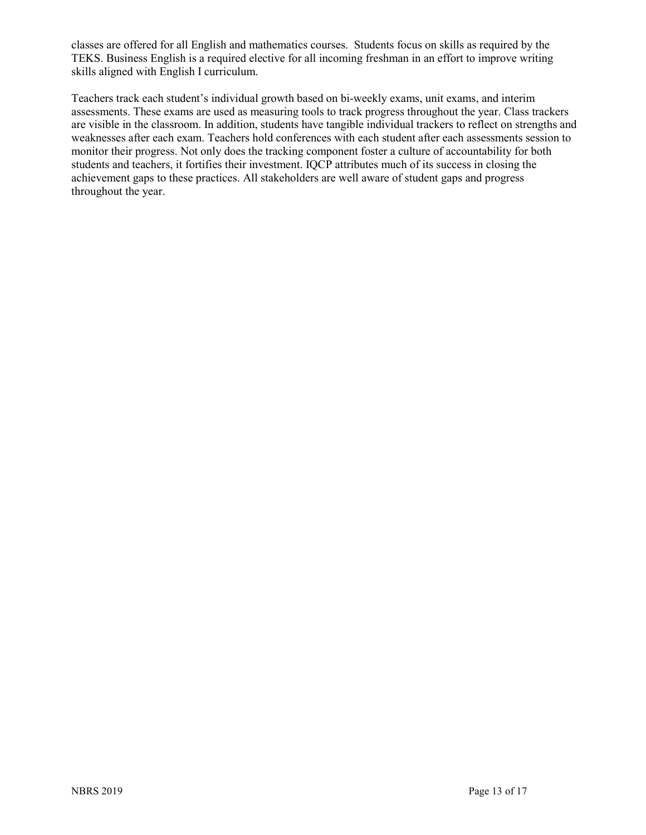classes are offered for all English and mathematics courses. Students focus on skills as required by the TEKS. Business English is a required elective for all incoming freshman in an effort to improve writing skills aligned with English I curriculum.

Teachers track each student's individual growth based on bi-weekly exams, unit exams, and interim assessments. These exams are used as measuring tools to track progress throughout the year. Class trackers are visible in the classroom. In addition, students have tangible individual trackers to reflect on strengths and weaknesses after each exam. Teachers hold conferences with each student after each assessments session to monitor their progress. Not only does the tracking component foster a culture of accountability for both students and teachers, it fortifies their investment. IQCP attributes much of its success in closing the achievement gaps to these practices. All stakeholders are well aware of student gaps and progress throughout the year.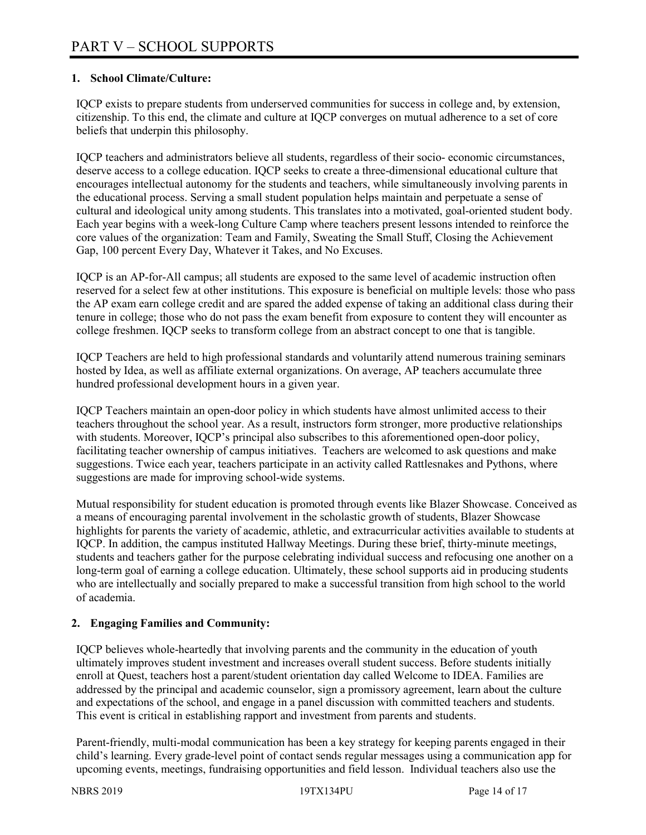#### **1. School Climate/Culture:**

IQCP exists to prepare students from underserved communities for success in college and, by extension, citizenship. To this end, the climate and culture at IQCP converges on mutual adherence to a set of core beliefs that underpin this philosophy.

IQCP teachers and administrators believe all students, regardless of their socio- economic circumstances, deserve access to a college education. IQCP seeks to create a three-dimensional educational culture that encourages intellectual autonomy for the students and teachers, while simultaneously involving parents in the educational process. Serving a small student population helps maintain and perpetuate a sense of cultural and ideological unity among students. This translates into a motivated, goal-oriented student body. Each year begins with a week-long Culture Camp where teachers present lessons intended to reinforce the core values of the organization: Team and Family, Sweating the Small Stuff, Closing the Achievement Gap, 100 percent Every Day, Whatever it Takes, and No Excuses.

IQCP is an AP-for-All campus; all students are exposed to the same level of academic instruction often reserved for a select few at other institutions. This exposure is beneficial on multiple levels: those who pass the AP exam earn college credit and are spared the added expense of taking an additional class during their tenure in college; those who do not pass the exam benefit from exposure to content they will encounter as college freshmen. IQCP seeks to transform college from an abstract concept to one that is tangible.

IQCP Teachers are held to high professional standards and voluntarily attend numerous training seminars hosted by Idea, as well as affiliate external organizations. On average, AP teachers accumulate three hundred professional development hours in a given year.

IQCP Teachers maintain an open-door policy in which students have almost unlimited access to their teachers throughout the school year. As a result, instructors form stronger, more productive relationships with students. Moreover, IQCP's principal also subscribes to this aforementioned open-door policy, facilitating teacher ownership of campus initiatives. Teachers are welcomed to ask questions and make suggestions. Twice each year, teachers participate in an activity called Rattlesnakes and Pythons, where suggestions are made for improving school-wide systems.

Mutual responsibility for student education is promoted through events like Blazer Showcase. Conceived as a means of encouraging parental involvement in the scholastic growth of students, Blazer Showcase highlights for parents the variety of academic, athletic, and extracurricular activities available to students at IQCP. In addition, the campus instituted Hallway Meetings. During these brief, thirty-minute meetings, students and teachers gather for the purpose celebrating individual success and refocusing one another on a long-term goal of earning a college education. Ultimately, these school supports aid in producing students who are intellectually and socially prepared to make a successful transition from high school to the world of academia.

## **2. Engaging Families and Community:**

IQCP believes whole-heartedly that involving parents and the community in the education of youth ultimately improves student investment and increases overall student success. Before students initially enroll at Quest, teachers host a parent/student orientation day called Welcome to IDEA. Families are addressed by the principal and academic counselor, sign a promissory agreement, learn about the culture and expectations of the school, and engage in a panel discussion with committed teachers and students. This event is critical in establishing rapport and investment from parents and students.

Parent-friendly, multi-modal communication has been a key strategy for keeping parents engaged in their child's learning. Every grade-level point of contact sends regular messages using a communication app for upcoming events, meetings, fundraising opportunities and field lesson. Individual teachers also use the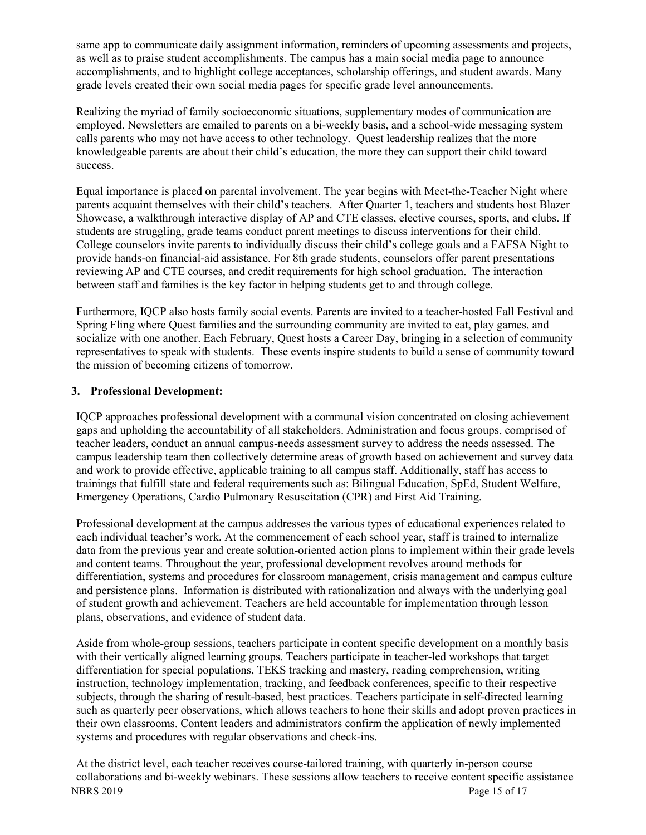same app to communicate daily assignment information, reminders of upcoming assessments and projects, as well as to praise student accomplishments. The campus has a main social media page to announce accomplishments, and to highlight college acceptances, scholarship offerings, and student awards. Many grade levels created their own social media pages for specific grade level announcements.

Realizing the myriad of family socioeconomic situations, supplementary modes of communication are employed. Newsletters are emailed to parents on a bi-weekly basis, and a school-wide messaging system calls parents who may not have access to other technology. Quest leadership realizes that the more knowledgeable parents are about their child's education, the more they can support their child toward success.

Equal importance is placed on parental involvement. The year begins with Meet-the-Teacher Night where parents acquaint themselves with their child's teachers. After Quarter 1, teachers and students host Blazer Showcase, a walkthrough interactive display of AP and CTE classes, elective courses, sports, and clubs. If students are struggling, grade teams conduct parent meetings to discuss interventions for their child. College counselors invite parents to individually discuss their child's college goals and a FAFSA Night to provide hands-on financial-aid assistance. For 8th grade students, counselors offer parent presentations reviewing AP and CTE courses, and credit requirements for high school graduation. The interaction between staff and families is the key factor in helping students get to and through college.

Furthermore, IQCP also hosts family social events. Parents are invited to a teacher-hosted Fall Festival and Spring Fling where Quest families and the surrounding community are invited to eat, play games, and socialize with one another. Each February, Quest hosts a Career Day, bringing in a selection of community representatives to speak with students. These events inspire students to build a sense of community toward the mission of becoming citizens of tomorrow.

## **3. Professional Development:**

IQCP approaches professional development with a communal vision concentrated on closing achievement gaps and upholding the accountability of all stakeholders. Administration and focus groups, comprised of teacher leaders, conduct an annual campus-needs assessment survey to address the needs assessed. The campus leadership team then collectively determine areas of growth based on achievement and survey data and work to provide effective, applicable training to all campus staff. Additionally, staff has access to trainings that fulfill state and federal requirements such as: Bilingual Education, SpEd, Student Welfare, Emergency Operations, Cardio Pulmonary Resuscitation (CPR) and First Aid Training.

Professional development at the campus addresses the various types of educational experiences related to each individual teacher's work. At the commencement of each school year, staff is trained to internalize data from the previous year and create solution-oriented action plans to implement within their grade levels and content teams. Throughout the year, professional development revolves around methods for differentiation, systems and procedures for classroom management, crisis management and campus culture and persistence plans. Information is distributed with rationalization and always with the underlying goal of student growth and achievement. Teachers are held accountable for implementation through lesson plans, observations, and evidence of student data.

Aside from whole-group sessions, teachers participate in content specific development on a monthly basis with their vertically aligned learning groups. Teachers participate in teacher-led workshops that target differentiation for special populations, TEKS tracking and mastery, reading comprehension, writing instruction, technology implementation, tracking, and feedback conferences, specific to their respective subjects, through the sharing of result-based, best practices. Teachers participate in self-directed learning such as quarterly peer observations, which allows teachers to hone their skills and adopt proven practices in their own classrooms. Content leaders and administrators confirm the application of newly implemented systems and procedures with regular observations and check-ins.

NBRS 2019 Page 15 of 17 At the district level, each teacher receives course-tailored training, with quarterly in-person course collaborations and bi-weekly webinars. These sessions allow teachers to receive content specific assistance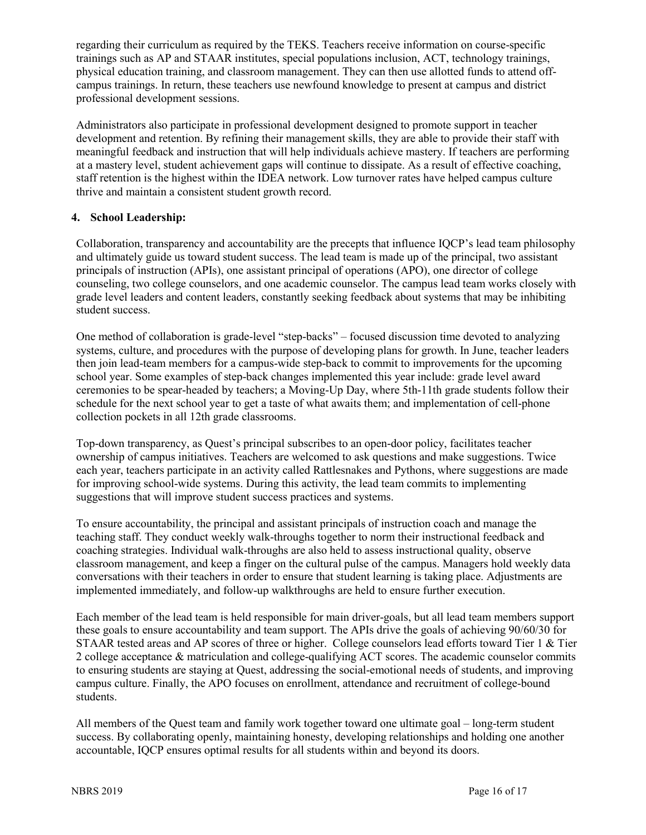regarding their curriculum as required by the TEKS. Teachers receive information on course-specific trainings such as AP and STAAR institutes, special populations inclusion, ACT, technology trainings, physical education training, and classroom management. They can then use allotted funds to attend offcampus trainings. In return, these teachers use newfound knowledge to present at campus and district professional development sessions.

Administrators also participate in professional development designed to promote support in teacher development and retention. By refining their management skills, they are able to provide their staff with meaningful feedback and instruction that will help individuals achieve mastery. If teachers are performing at a mastery level, student achievement gaps will continue to dissipate. As a result of effective coaching, staff retention is the highest within the IDEA network. Low turnover rates have helped campus culture thrive and maintain a consistent student growth record.

## **4. School Leadership:**

Collaboration, transparency and accountability are the precepts that influence IQCP's lead team philosophy and ultimately guide us toward student success. The lead team is made up of the principal, two assistant principals of instruction (APIs), one assistant principal of operations (APO), one director of college counseling, two college counselors, and one academic counselor. The campus lead team works closely with grade level leaders and content leaders, constantly seeking feedback about systems that may be inhibiting student success.

One method of collaboration is grade-level "step-backs" – focused discussion time devoted to analyzing systems, culture, and procedures with the purpose of developing plans for growth. In June, teacher leaders then join lead-team members for a campus-wide step-back to commit to improvements for the upcoming school year. Some examples of step-back changes implemented this year include: grade level award ceremonies to be spear-headed by teachers; a Moving-Up Day, where 5th-11th grade students follow their schedule for the next school year to get a taste of what awaits them; and implementation of cell-phone collection pockets in all 12th grade classrooms.

Top-down transparency, as Quest's principal subscribes to an open-door policy, facilitates teacher ownership of campus initiatives. Teachers are welcomed to ask questions and make suggestions. Twice each year, teachers participate in an activity called Rattlesnakes and Pythons, where suggestions are made for improving school-wide systems. During this activity, the lead team commits to implementing suggestions that will improve student success practices and systems.

To ensure accountability, the principal and assistant principals of instruction coach and manage the teaching staff. They conduct weekly walk-throughs together to norm their instructional feedback and coaching strategies. Individual walk-throughs are also held to assess instructional quality, observe classroom management, and keep a finger on the cultural pulse of the campus. Managers hold weekly data conversations with their teachers in order to ensure that student learning is taking place. Adjustments are implemented immediately, and follow-up walkthroughs are held to ensure further execution.

Each member of the lead team is held responsible for main driver-goals, but all lead team members support these goals to ensure accountability and team support. The APIs drive the goals of achieving 90/60/30 for STAAR tested areas and AP scores of three or higher. College counselors lead efforts toward Tier 1 & Tier 2 college acceptance & matriculation and college-qualifying ACT scores. The academic counselor commits to ensuring students are staying at Quest, addressing the social-emotional needs of students, and improving campus culture. Finally, the APO focuses on enrollment, attendance and recruitment of college-bound students.

All members of the Quest team and family work together toward one ultimate goal – long-term student success. By collaborating openly, maintaining honesty, developing relationships and holding one another accountable, IQCP ensures optimal results for all students within and beyond its doors.